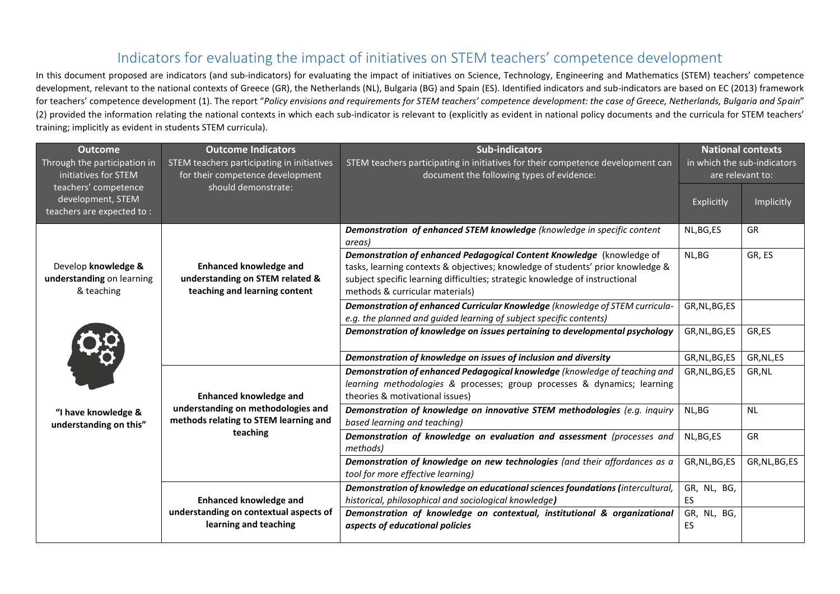## Indicators for evaluating the impact of initiatives on STEM teachers' competence development

In this document proposed are indicators (and sub-indicators) for evaluating the impact of initiatives on Science, Technology, Engineering and Mathematics (STEM) teachers' competence development, relevant to the national contexts of Greece (GR), the Netherlands (NL), Bulgaria (BG) and Spain (ES). Identified indicators and sub-indicators are based on EC (2013) framework for teachers' competence development (1). The report "*Policy envisions and requirements for STEM teachers' competence development: the case of Greece, Netherlands, Bulgaria and Spain*" (2) provided the information relating the national contexts in which each sub-indicator is relevant to (explicitly as evident in national policy documents and the curricula for STEM teachers' training; implicitly as evident in students STEM curricula).

| <b>Outcome</b><br>Through the participation in<br>initiatives for STEM                                          | <b>Outcome Indicators</b><br>STEM teachers participating in initiatives<br>for their competence development              | <b>Sub-indicators</b><br>STEM teachers participating in initiatives for their competence development can<br>document the following types of evidence:                                                                                                                       | <b>National contexts</b><br>in which the sub-indicators<br>are relevant to: |                |
|-----------------------------------------------------------------------------------------------------------------|--------------------------------------------------------------------------------------------------------------------------|-----------------------------------------------------------------------------------------------------------------------------------------------------------------------------------------------------------------------------------------------------------------------------|-----------------------------------------------------------------------------|----------------|
| teachers' competence<br>development, STEM<br>teachers are expected to:                                          | should demonstrate:                                                                                                      |                                                                                                                                                                                                                                                                             | Explicitly                                                                  | Implicitly     |
|                                                                                                                 |                                                                                                                          | Demonstration of enhanced STEM knowledge (knowledge in specific content<br>areas)                                                                                                                                                                                           | NL, BG, ES                                                                  | GR             |
| Develop knowledge &<br>understanding on learning<br>& teaching<br>"I have knowledge &<br>understanding on this" | <b>Enhanced knowledge and</b><br>understanding on STEM related &<br>teaching and learning content                        | Demonstration of enhanced Pedagogical Content Knowledge (knowledge of<br>tasks, learning contexts & objectives; knowledge of students' prior knowledge &<br>subject specific learning difficulties; strategic knowledge of instructional<br>methods & curricular materials) | NL, BG                                                                      | GR, ES         |
|                                                                                                                 |                                                                                                                          | Demonstration of enhanced Curricular Knowledge (knowledge of STEM curricula-<br>e.g. the planned and guided learning of subject specific contents)                                                                                                                          | GR, NL, BG, ES                                                              |                |
|                                                                                                                 |                                                                                                                          | Demonstration of knowledge on issues pertaining to developmental psychology                                                                                                                                                                                                 | GR, NL, BG, ES                                                              | GR,ES          |
|                                                                                                                 |                                                                                                                          | Demonstration of knowledge on issues of inclusion and diversity                                                                                                                                                                                                             | GR, NL, BG, ES                                                              | GR, NL, ES     |
|                                                                                                                 | <b>Enhanced knowledge and</b><br>understanding on methodologies and<br>methods relating to STEM learning and<br>teaching | Demonstration of enhanced Pedagogical knowledge (knowledge of teaching and<br>learning methodologies & processes; group processes & dynamics; learning<br>theories & motivational issues)                                                                                   | GR, NL, BG, ES                                                              | GR, NL         |
|                                                                                                                 |                                                                                                                          | Demonstration of knowledge on innovative STEM methodologies (e.g. inquiry<br>based learning and teaching)                                                                                                                                                                   | NL, BG                                                                      | <b>NL</b>      |
|                                                                                                                 |                                                                                                                          | Demonstration of knowledge on evaluation and assessment (processes and<br>methods)                                                                                                                                                                                          | NL, BG, ES                                                                  | GR             |
|                                                                                                                 |                                                                                                                          | Demonstration of knowledge on new technologies (and their affordances as a<br>tool for more effective learning)                                                                                                                                                             | GR, NL, BG, ES                                                              | GR, NL, BG, ES |
|                                                                                                                 | <b>Enhanced knowledge and</b>                                                                                            | Demonstration of knowledge on educational sciences foundations (intercultural,<br>historical, philosophical and sociological knowledge)                                                                                                                                     | GR, NL, BG,<br>ES                                                           |                |
|                                                                                                                 | understanding on contextual aspects of<br>learning and teaching                                                          | Demonstration of knowledge on contextual, institutional & organizational<br>aspects of educational policies                                                                                                                                                                 | GR, NL, BG,<br>ES                                                           |                |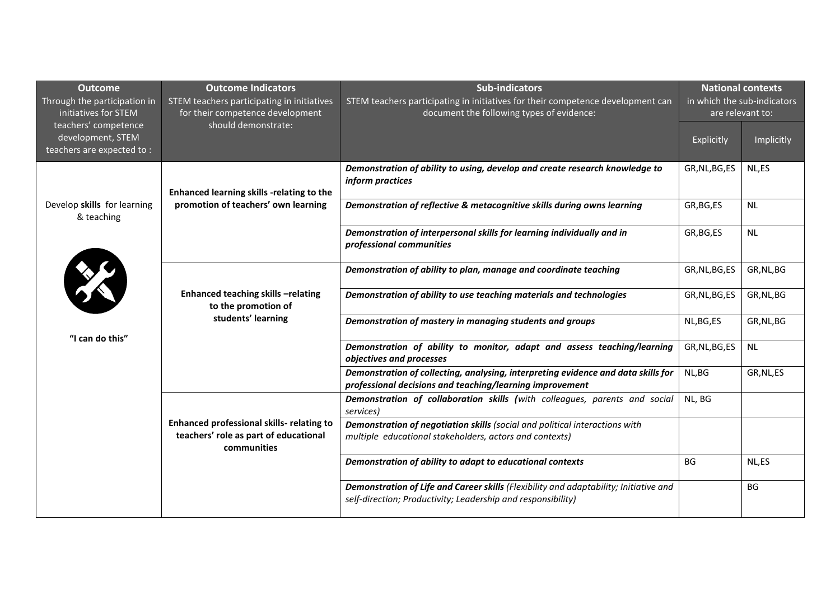| <b>Outcome</b><br>Through the participation in<br>initiatives for STEM | <b>Outcome Indicators</b><br>STEM teachers participating in initiatives<br>for their competence development | <b>Sub-indicators</b><br>STEM teachers participating in initiatives for their competence development can<br>document the following types of evidence: | <b>National contexts</b><br>in which the sub-indicators<br>are relevant to: |            |
|------------------------------------------------------------------------|-------------------------------------------------------------------------------------------------------------|-------------------------------------------------------------------------------------------------------------------------------------------------------|-----------------------------------------------------------------------------|------------|
| teachers' competence<br>development, STEM<br>teachers are expected to: | should demonstrate:                                                                                         |                                                                                                                                                       | Explicitly                                                                  | Implicitly |
| Develop skills for learning<br>& teaching<br>XX<br>"I can do this"     | Enhanced learning skills -relating to the<br>promotion of teachers' own learning                            | Demonstration of ability to using, develop and create research knowledge to<br>inform practices                                                       | GR, NL, BG, ES                                                              | NL,ES      |
|                                                                        |                                                                                                             | Demonstration of reflective & metacognitive skills during owns learning                                                                               | GR, BG, ES                                                                  | <b>NL</b>  |
|                                                                        |                                                                                                             | Demonstration of interpersonal skills for learning individually and in<br>professional communities                                                    | GR, BG, ES                                                                  | NL         |
|                                                                        |                                                                                                             | Demonstration of ability to plan, manage and coordinate teaching                                                                                      | GR, NL, BG, ES                                                              | GR, NL, BG |
|                                                                        | Enhanced teaching skills -relating<br>to the promotion of                                                   | Demonstration of ability to use teaching materials and technologies                                                                                   | GR, NL, BG, ES                                                              | GR, NL, BG |
|                                                                        | students' learning                                                                                          | Demonstration of mastery in managing students and groups                                                                                              | NL, BG, ES                                                                  | GR, NL, BG |
|                                                                        |                                                                                                             | Demonstration of ability to monitor, adapt and assess teaching/learning<br>objectives and processes                                                   | GR, NL, BG, ES                                                              | NL         |
|                                                                        |                                                                                                             | Demonstration of collecting, analysing, interpreting evidence and data skills for<br>professional decisions and teaching/learning improvement         | NL, BG                                                                      | GR, NL, ES |
|                                                                        |                                                                                                             | Demonstration of collaboration skills (with colleagues, parents and social<br>services)                                                               | NL, BG                                                                      |            |
|                                                                        | Enhanced professional skills- relating to<br>teachers' role as part of educational<br>communities           | Demonstration of negotiation skills (social and political interactions with<br>multiple educational stakeholders, actors and contexts)                |                                                                             |            |
|                                                                        |                                                                                                             | Demonstration of ability to adapt to educational contexts                                                                                             | BG                                                                          | NL,ES      |
|                                                                        |                                                                                                             | Demonstration of Life and Career skills (Flexibility and adaptability; Initiative and<br>self-direction; Productivity; Leadership and responsibility) |                                                                             | <b>BG</b>  |